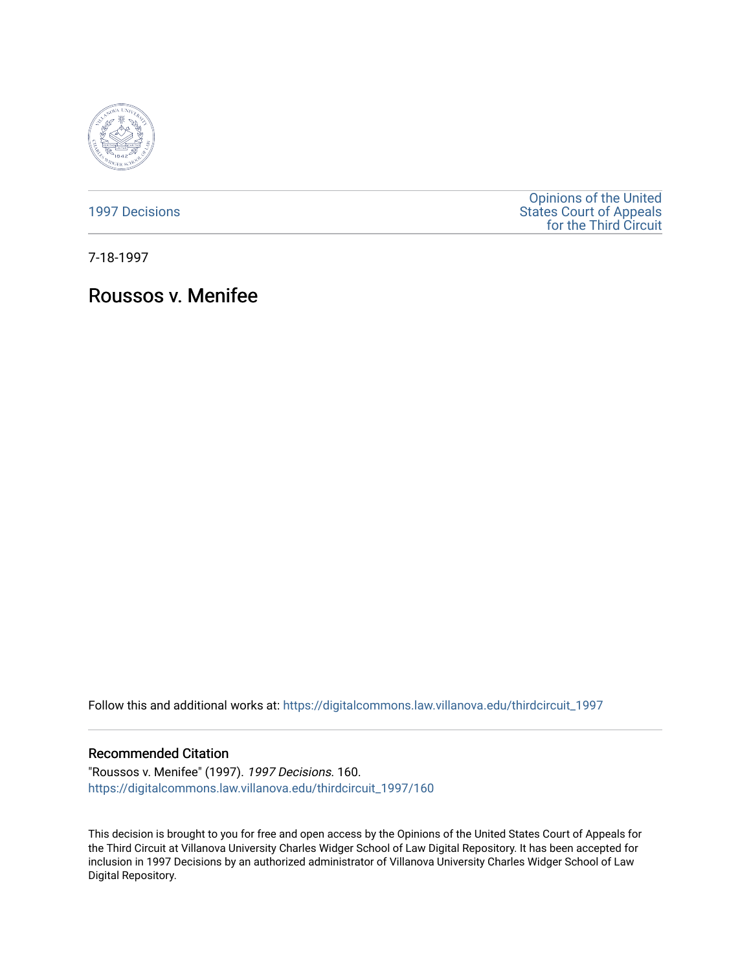

[1997 Decisions](https://digitalcommons.law.villanova.edu/thirdcircuit_1997)

[Opinions of the United](https://digitalcommons.law.villanova.edu/thirdcircuit)  [States Court of Appeals](https://digitalcommons.law.villanova.edu/thirdcircuit)  [for the Third Circuit](https://digitalcommons.law.villanova.edu/thirdcircuit) 

7-18-1997

# Roussos v. Menifee

Follow this and additional works at: [https://digitalcommons.law.villanova.edu/thirdcircuit\\_1997](https://digitalcommons.law.villanova.edu/thirdcircuit_1997?utm_source=digitalcommons.law.villanova.edu%2Fthirdcircuit_1997%2F160&utm_medium=PDF&utm_campaign=PDFCoverPages) 

## Recommended Citation

"Roussos v. Menifee" (1997). 1997 Decisions. 160. [https://digitalcommons.law.villanova.edu/thirdcircuit\\_1997/160](https://digitalcommons.law.villanova.edu/thirdcircuit_1997/160?utm_source=digitalcommons.law.villanova.edu%2Fthirdcircuit_1997%2F160&utm_medium=PDF&utm_campaign=PDFCoverPages)

This decision is brought to you for free and open access by the Opinions of the United States Court of Appeals for the Third Circuit at Villanova University Charles Widger School of Law Digital Repository. It has been accepted for inclusion in 1997 Decisions by an authorized administrator of Villanova University Charles Widger School of Law Digital Repository.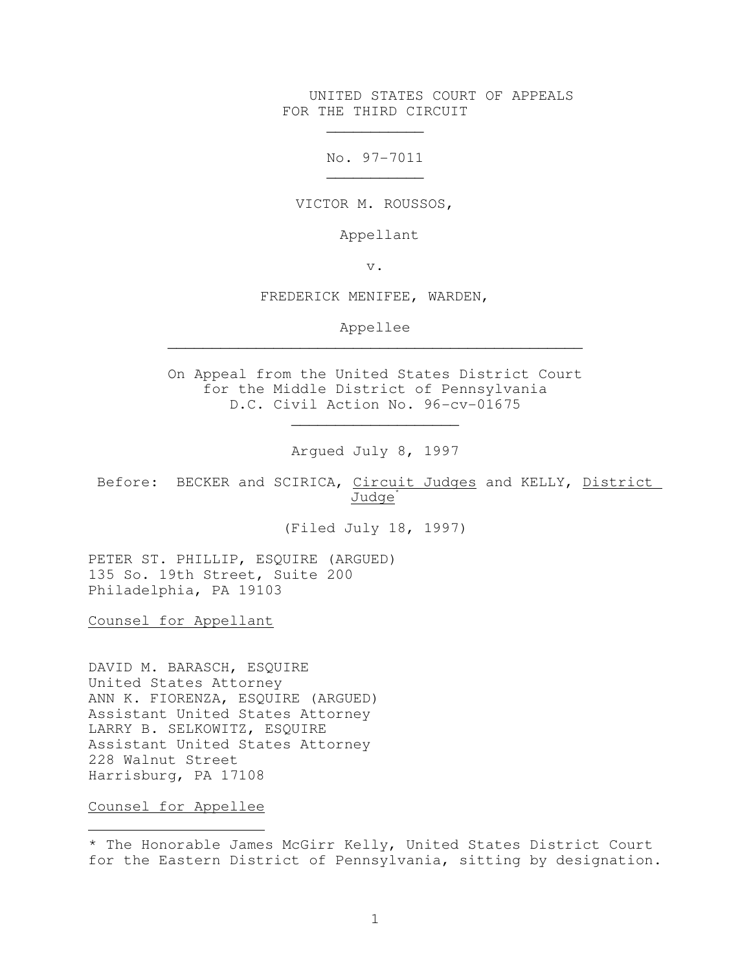UNITED STATES COURT OF APPEALS FOR THE THIRD CIRCUIT

No. 97-7011

VICTOR M. ROUSSOS,

Appellant

v.

FREDERICK MENIFEE, WARDEN,

Appellee \_\_\_\_\_\_\_\_\_\_\_\_\_\_\_\_\_\_\_\_\_\_\_\_\_\_\_\_\_\_\_\_\_\_\_\_\_\_\_\_\_\_\_\_\_\_\_

On Appeal from the United States District Court for the Middle District of Pennsylvania D.C. Civil Action No. 96-cv-01675

Argued July 8, 1997

\_\_\_\_\_\_\_\_\_\_\_\_\_\_\_\_\_\_\_

Before: BECKER and SCIRICA, Circuit Judges and KELLY, District Judge<sup>\*</sup>

(Filed July 18, 1997)

PETER ST. PHILLIP, ESQUIRE (ARGUED) 135 So. 19th Street, Suite 200 Philadelphia, PA 19103

 $\mathcal{L}_\text{max}$  and  $\mathcal{L}_\text{max}$  and  $\mathcal{L}_\text{max}$  and  $\mathcal{L}_\text{max}$  and  $\mathcal{L}_\text{max}$ 

 $\mathcal{L}_\text{max}$  and  $\mathcal{L}_\text{max}$  are the set of the set of the set of the set of the set of the set of the set of the set of the set of the set of the set of the set of the set of the set of the set of the set of the set o

Counsel for Appellant

DAVID M. BARASCH, ESQUIRE United States Attorney ANN K. FIORENZA, ESQUIRE (ARGUED) Assistant United States Attorney LARRY B. SELKOWITZ, ESQUIRE Assistant United States Attorney 228 Walnut Street Harrisburg, PA 17108

Counsel for Appellee

i

<sup>\*</sup> The Honorable James McGirr Kelly, United States District Court for the Eastern District of Pennsylvania, sitting by designation.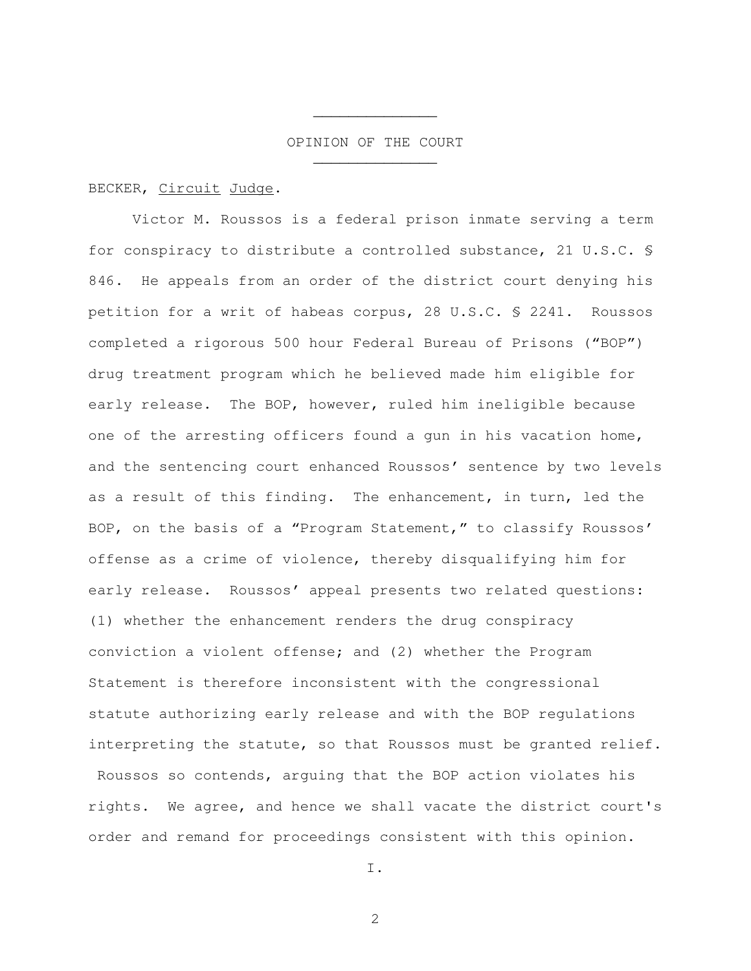#### OPINION OF THE COURT

## BECKER, Circuit Judge.

 $\mathcal{L}_\text{max}$  and  $\mathcal{L}_\text{max}$  and  $\mathcal{L}_\text{max}$  and  $\mathcal{L}_\text{max}$ 

 $\mathcal{L}_\text{max}$  and  $\mathcal{L}_\text{max}$  and  $\mathcal{L}_\text{max}$  and  $\mathcal{L}_\text{max}$ 

Victor M. Roussos is a federal prison inmate serving a term for conspiracy to distribute a controlled substance, 21 U.S.C. § 846. He appeals from an order of the district court denying his petition for a writ of habeas corpus, 28 U.S.C. § 2241. Roussos completed a rigorous 500 hour Federal Bureau of Prisons ("BOP") drug treatment program which he believed made him eligible for early release. The BOP, however, ruled him ineligible because one of the arresting officers found a gun in his vacation home, and the sentencing court enhanced Roussos' sentence by two levels as a result of this finding. The enhancement, in turn, led the BOP, on the basis of a "Program Statement," to classify Roussos' offense as a crime of violence, thereby disqualifying him for early release. Roussos' appeal presents two related questions: (1) whether the enhancement renders the drug conspiracy conviction a violent offense; and (2) whether the Program Statement is therefore inconsistent with the congressional statute authorizing early release and with the BOP regulations interpreting the statute, so that Roussos must be granted relief.

 Roussos so contends, arguing that the BOP action violates his rights. We agree, and hence we shall vacate the district court's order and remand for proceedings consistent with this opinion.

I.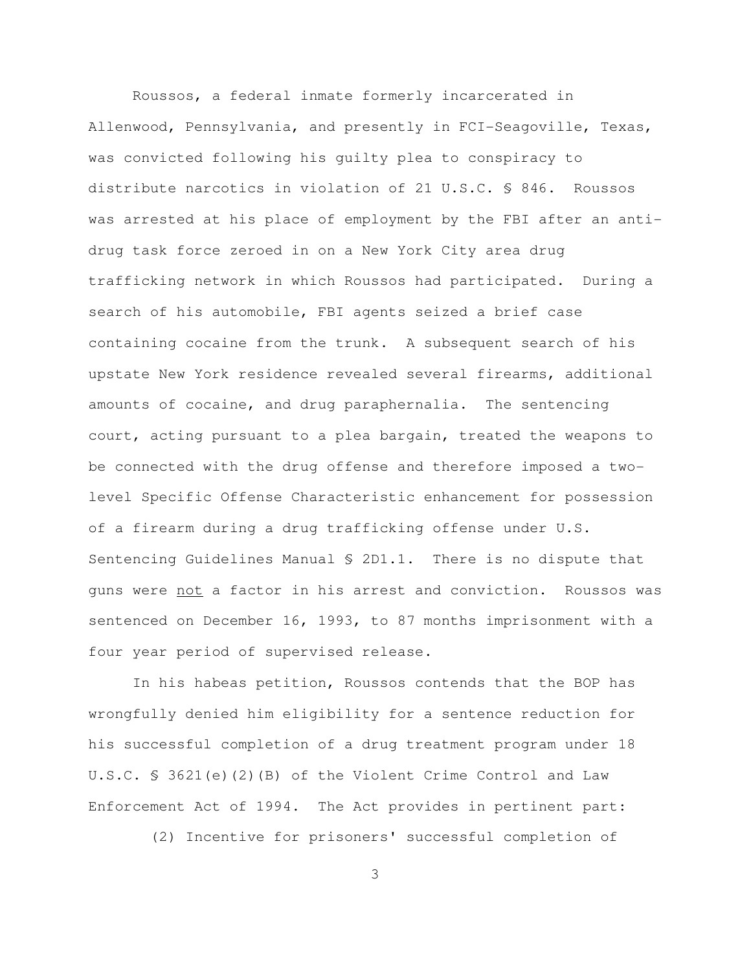Roussos, a federal inmate formerly incarcerated in Allenwood, Pennsylvania, and presently in FCI-Seagoville, Texas, was convicted following his guilty plea to conspiracy to distribute narcotics in violation of 21 U.S.C. § 846. Roussos was arrested at his place of employment by the FBI after an antidrug task force zeroed in on a New York City area drug trafficking network in which Roussos had participated. During a search of his automobile, FBI agents seized a brief case containing cocaine from the trunk. A subsequent search of his upstate New York residence revealed several firearms, additional amounts of cocaine, and drug paraphernalia. The sentencing court, acting pursuant to a plea bargain, treated the weapons to be connected with the drug offense and therefore imposed a twolevel Specific Offense Characteristic enhancement for possession of a firearm during a drug trafficking offense under U.S. Sentencing Guidelines Manual § 2D1.1. There is no dispute that guns were not a factor in his arrest and conviction. Roussos was sentenced on December 16, 1993, to 87 months imprisonment with a four year period of supervised release.

In his habeas petition, Roussos contends that the BOP has wrongfully denied him eligibility for a sentence reduction for his successful completion of a drug treatment program under 18 U.S.C. § 3621(e)(2)(B) of the Violent Crime Control and Law Enforcement Act of 1994. The Act provides in pertinent part:

(2) Incentive for prisoners' successful completion of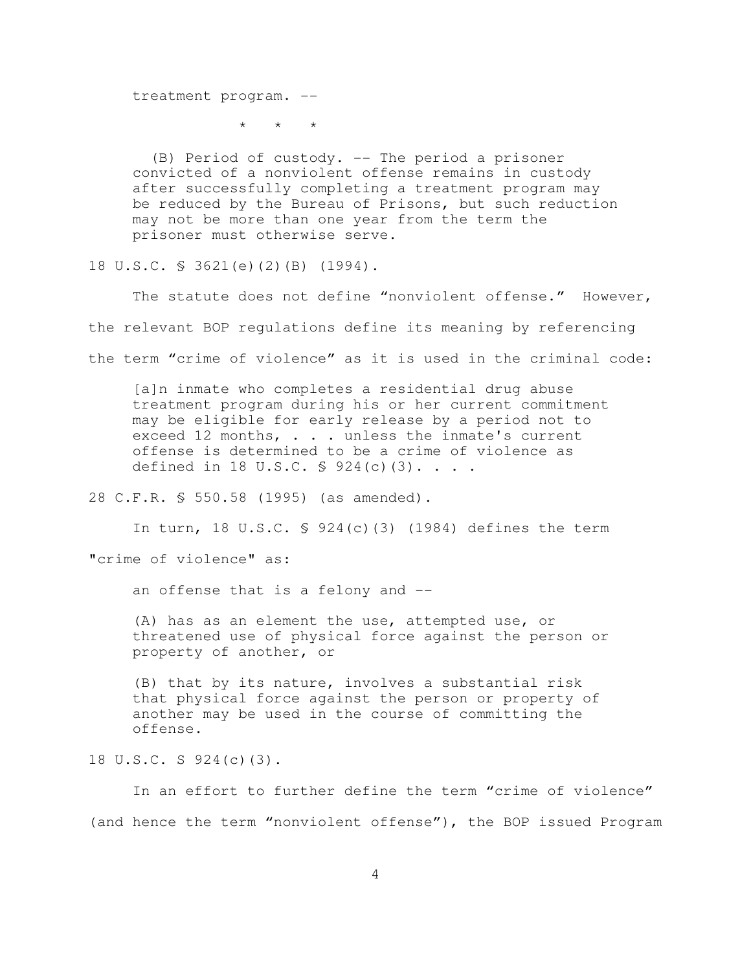treatment program. --

\* \* \*

 (B) Period of custody. -- The period a prisoner convicted of a nonviolent offense remains in custody after successfully completing a treatment program may be reduced by the Bureau of Prisons, but such reduction may not be more than one year from the term the prisoner must otherwise serve.

18 U.S.C. § 3621(e)(2)(B) (1994).

The statute does not define "nonviolent offense." However, the relevant BOP regulations define its meaning by referencing the term "crime of violence" as it is used in the criminal code:

[a]n inmate who completes a residential drug abuse treatment program during his or her current commitment may be eligible for early release by a period not to exceed 12 months, . . . unless the inmate's current offense is determined to be a crime of violence as defined in 18 U.S.C.  $\frac{1}{2}$  924(c)(3)....

28 C.F.R. § 550.58 (1995) (as amended).

In turn, 18 U.S.C. § 924(c)(3) (1984) defines the term

"crime of violence" as:

an offense that is a felony and --

(A) has as an element the use, attempted use, or threatened use of physical force against the person or property of another, or

(B) that by its nature, involves a substantial risk that physical force against the person or property of another may be used in the course of committing the offense.

18 U.S.C. S 924(c)(3).

In an effort to further define the term "crime of violence" (and hence the term "nonviolent offense"), the BOP issued Program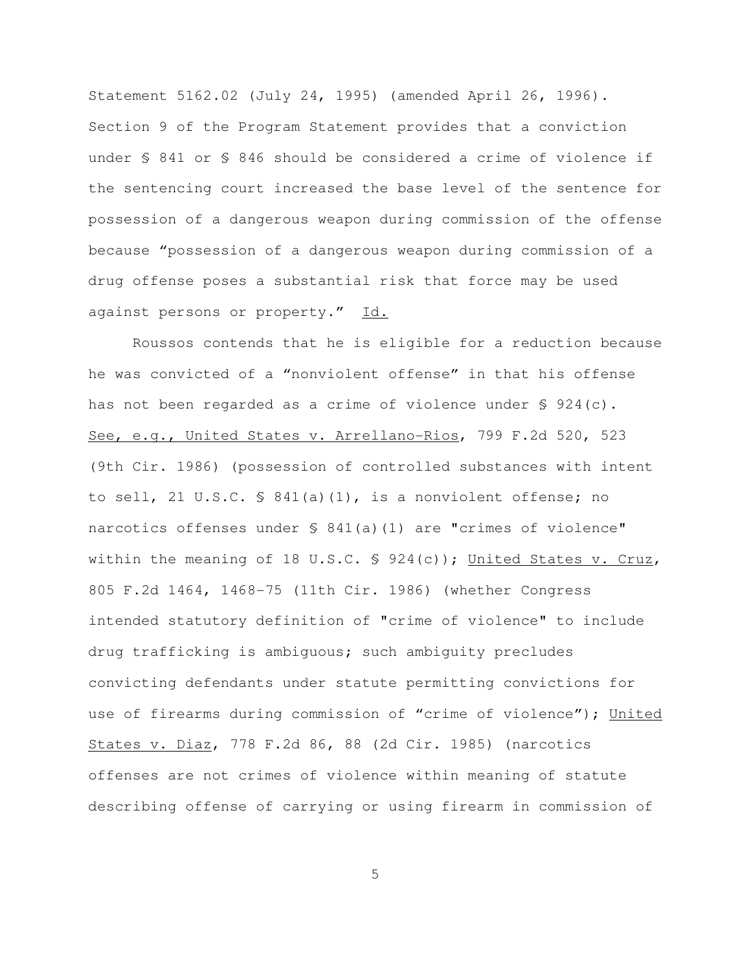Statement 5162.02 (July 24, 1995) (amended April 26, 1996). Section 9 of the Program Statement provides that a conviction under § 841 or § 846 should be considered a crime of violence if the sentencing court increased the base level of the sentence for possession of a dangerous weapon during commission of the offense because "possession of a dangerous weapon during commission of a drug offense poses a substantial risk that force may be used against persons or property." Id.

Roussos contends that he is eligible for a reduction because he was convicted of a "nonviolent offense" in that his offense has not been regarded as a crime of violence under § 924(c). See, e.g., United States v. Arrellano-Rios, 799 F.2d 520, 523 (9th Cir. 1986) (possession of controlled substances with intent to sell, 21 U.S.C. § 841(a)(1), is a nonviolent offense; no narcotics offenses under § 841(a)(1) are "crimes of violence" within the meaning of 18 U.S.C. § 924(c)); United States v. Cruz, 805 F.2d 1464, 1468-75 (11th Cir. 1986) (whether Congress intended statutory definition of "crime of violence" to include drug trafficking is ambiguous; such ambiguity precludes convicting defendants under statute permitting convictions for use of firearms during commission of "crime of violence"); United States v. Diaz, 778 F.2d 86, 88 (2d Cir. 1985) (narcotics offenses are not crimes of violence within meaning of statute describing offense of carrying or using firearm in commission of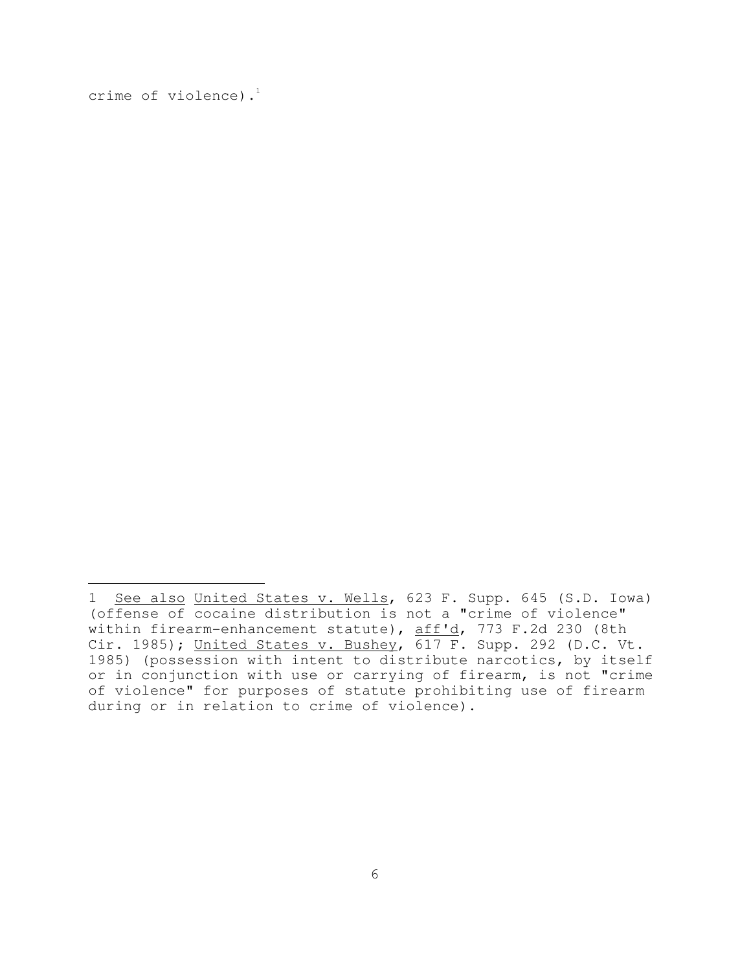crime of violence).<sup>1</sup>

i

<sup>1</sup> See also United States v. Wells, 623 F. Supp. 645 (S.D. Iowa) (offense of cocaine distribution is not a "crime of violence" within firearm-enhancement statute), aff'd, 773 F.2d 230 (8th Cir. 1985); United States v. Bushey, 617 F. Supp. 292 (D.C. Vt. 1985) (possession with intent to distribute narcotics, by itself or in conjunction with use or carrying of firearm, is not "crime of violence" for purposes of statute prohibiting use of firearm during or in relation to crime of violence).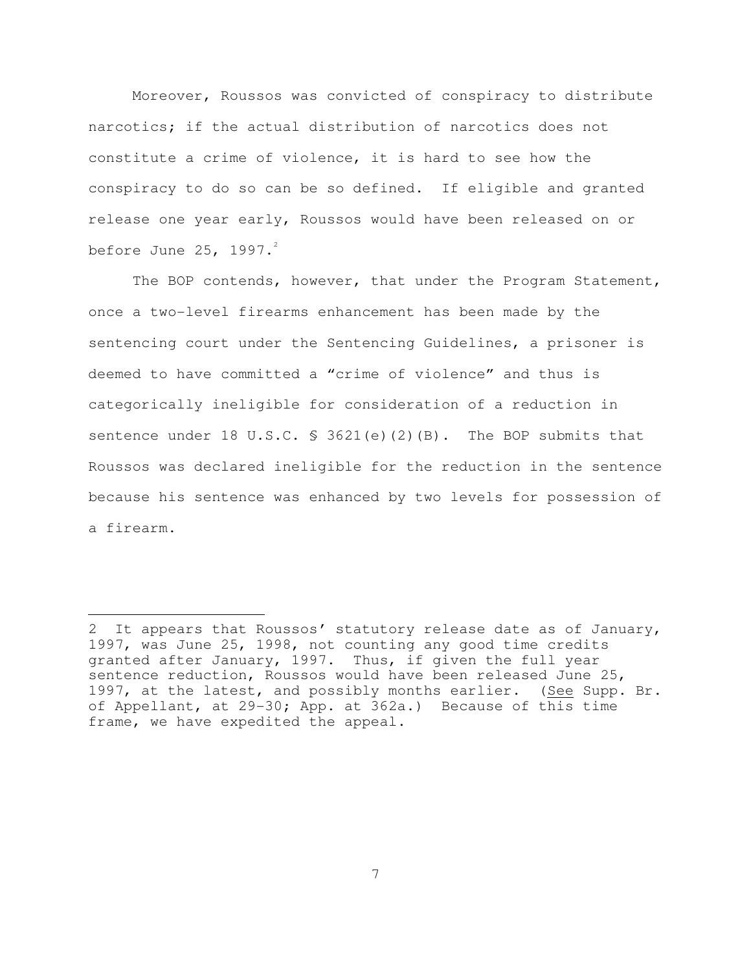Moreover, Roussos was convicted of conspiracy to distribute narcotics; if the actual distribution of narcotics does not constitute a crime of violence, it is hard to see how the conspiracy to do so can be so defined. If eligible and granted release one year early, Roussos would have been released on or before June 25, 1997. $^2$ 

The BOP contends, however, that under the Program Statement, once a two-level firearms enhancement has been made by the sentencing court under the Sentencing Guidelines, a prisoner is deemed to have committed a "crime of violence" and thus is categorically ineligible for consideration of a reduction in sentence under 18 U.S.C. § 3621(e)(2)(B). The BOP submits that Roussos was declared ineligible for the reduction in the sentence because his sentence was enhanced by two levels for possession of a firearm.

 $\overline{\phantom{0}}$ 

<sup>2</sup> It appears that Roussos' statutory release date as of January, 1997, was June 25, 1998, not counting any good time credits granted after January, 1997. Thus, if given the full year sentence reduction, Roussos would have been released June 25, 1997, at the latest, and possibly months earlier. (See Supp. Br. of Appellant, at 29-30; App. at 362a.) Because of this time frame, we have expedited the appeal.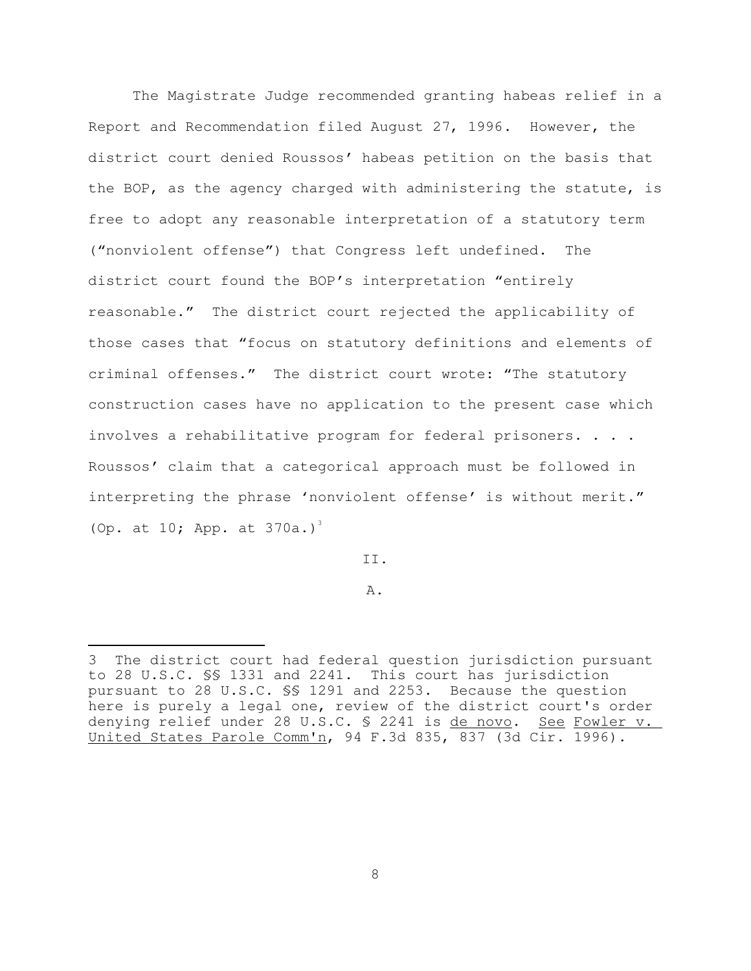The Magistrate Judge recommended granting habeas relief in a Report and Recommendation filed August 27, 1996. However, the district court denied Roussos' habeas petition on the basis that the BOP, as the agency charged with administering the statute, is free to adopt any reasonable interpretation of a statutory term ("nonviolent offense") that Congress left undefined. The district court found the BOP's interpretation "entirely reasonable." The district court rejected the applicability of those cases that "focus on statutory definitions and elements of criminal offenses." The district court wrote: "The statutory construction cases have no application to the present case which involves a rehabilitative program for federal prisoners. . . . Roussos' claim that a categorical approach must be followed in interpreting the phrase 'nonviolent offense' is without merit." (Op. at 10; App. at  $370a.$ )<sup>3</sup>

II.

A.

<sup>÷,</sup> 3 The district court had federal question jurisdiction pursuant to 28 U.S.C. §§ 1331 and 2241. This court has jurisdiction pursuant to 28 U.S.C. §§ 1291 and 2253. Because the question here is purely a legal one, review of the district court's order denying relief under 28 U.S.C. \$ 2241 is de novo. See Fowler v. United States Parole Comm'n, 94 F.3d 835, 837 (3d Cir. 1996).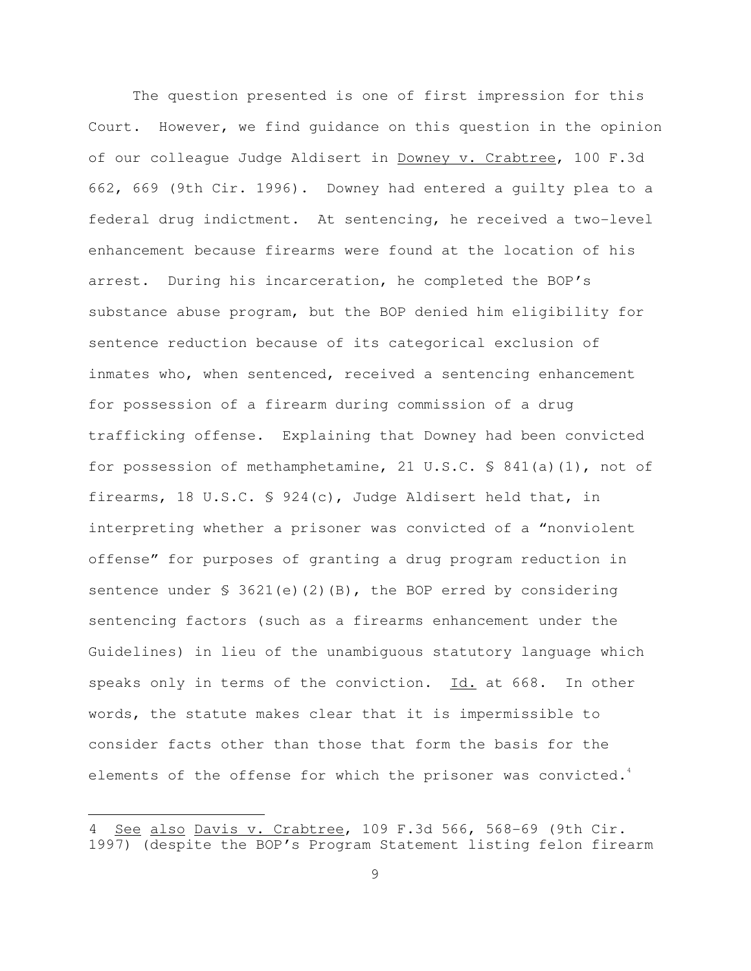The question presented is one of first impression for this Court. However, we find guidance on this question in the opinion of our colleague Judge Aldisert in Downey v. Crabtree, 100 F.3d 662, 669 (9th Cir. 1996). Downey had entered a guilty plea to a federal drug indictment. At sentencing, he received a two-level enhancement because firearms were found at the location of his arrest. During his incarceration, he completed the BOP's substance abuse program, but the BOP denied him eligibility for sentence reduction because of its categorical exclusion of inmates who, when sentenced, received a sentencing enhancement for possession of a firearm during commission of a drug trafficking offense. Explaining that Downey had been convicted for possession of methamphetamine, 21 U.S.C. § 841(a)(1), not of firearms, 18 U.S.C. § 924(c), Judge Aldisert held that, in interpreting whether a prisoner was convicted of a "nonviolent offense" for purposes of granting a drug program reduction in sentence under  $\S$  3621(e)(2)(B), the BOP erred by considering sentencing factors (such as a firearms enhancement under the Guidelines) in lieu of the unambiguous statutory language which speaks only in terms of the conviction. Id. at 668. In other words, the statute makes clear that it is impermissible to consider facts other than those that form the basis for the elements of the offense for which the prisoner was convicted.<sup>4</sup>

÷,

See also Davis v. Crabtree, 109 F.3d 566, 568-69 (9th Cir. 1997) (despite the BOP's Program Statement listing felon firearm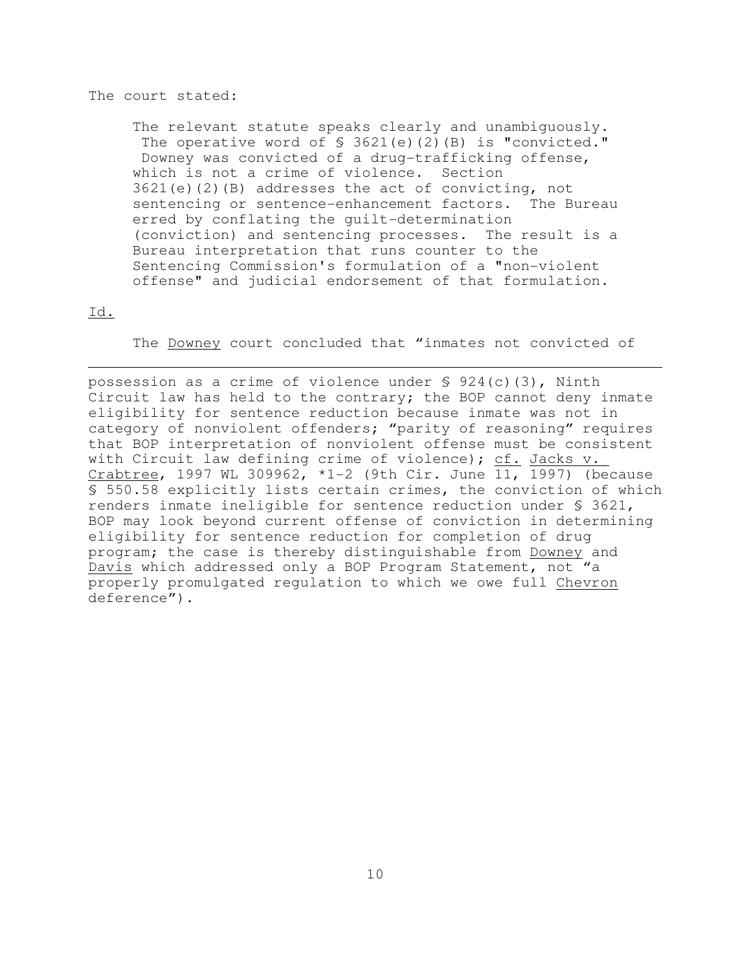#### The court stated:

The relevant statute speaks clearly and unambiguously. The operative word of  $\frac{1}{2}$  3621(e)(2)(B) is "convicted." Downey was convicted of a drug-trafficking offense, which is not a crime of violence. Section 3621(e)(2)(B) addresses the act of convicting, not sentencing or sentence-enhancement factors. The Bureau erred by conflating the guilt-determination (conviction) and sentencing processes. The result is a Bureau interpretation that runs counter to the Sentencing Commission's formulation of a "non-violent offense" and judicial endorsement of that formulation.

### Id.

The **Downey** court concluded that "inmates not convicted of

possession as a crime of violence under  $\frac{1}{2}$  924(c)(3), Ninth Circuit law has held to the contrary; the BOP cannot deny inmate eligibility for sentence reduction because inmate was not in category of nonviolent offenders; "parity of reasoning" requires that BOP interpretation of nonviolent offense must be consistent with Circuit law defining crime of violence); cf. Jacks v. Crabtree, 1997 WL 309962, \*1-2 (9th Cir. June 11, 1997) (because § 550.58 explicitly lists certain crimes, the conviction of which renders inmate ineligible for sentence reduction under § 3621, BOP may look beyond current offense of conviction in determining eligibility for sentence reduction for completion of drug program; the case is thereby distinguishable from Downey and Davis which addressed only a BOP Program Statement, not "a properly promulgated regulation to which we owe full Chevron deference").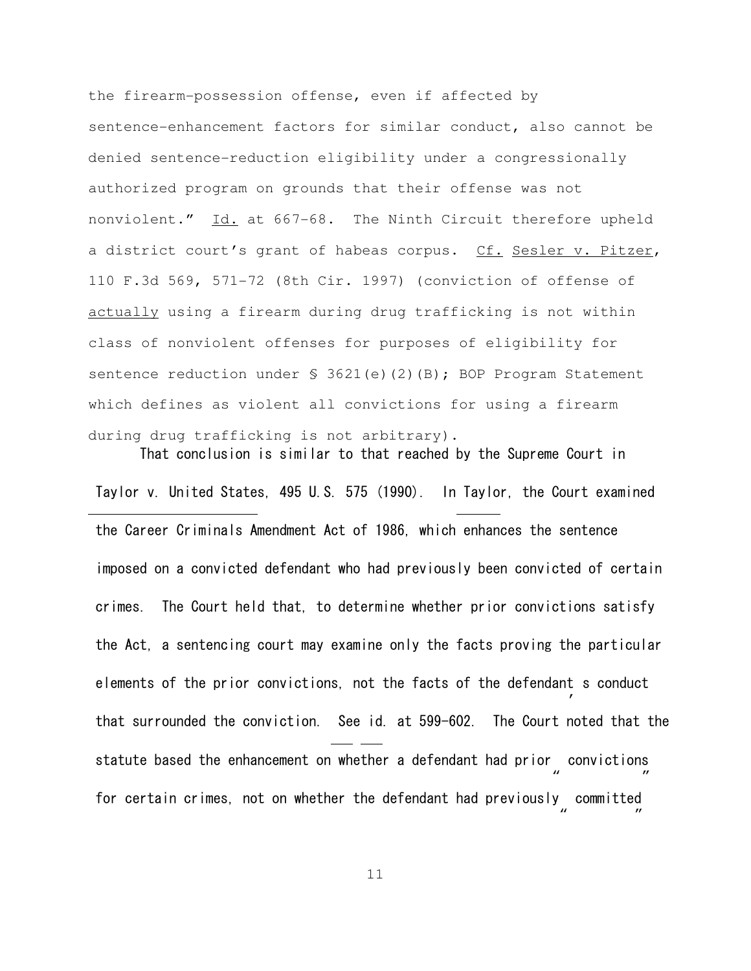the firearm-possession offense, even if affected by sentence-enhancement factors for similar conduct, also cannot be denied sentence-reduction eligibility under a congressionally authorized program on grounds that their offense was not nonviolent." Id. at 667-68. The Ninth Circuit therefore upheld a district court's grant of habeas corpus. Cf. Sesler v. Pitzer, 110 F.3d 569, 571-72 (8th Cir. 1997) (conviction of offense of actually using a firearm during drug trafficking is not within class of nonviolent offenses for purposes of eligibility for sentence reduction under § 3621(e)(2)(B); BOP Program Statement which defines as violent all convictions for using a firearm during drug trafficking is not arbitrary).

That conclusion is similar to that reached by the Supreme Court in Taylor v. United States, 495 U.S. 575 (1990). In Taylor, the Court examined the Career Criminals Amendment Act of 1986, which enhances the sentence imposed on a convicted defendant who had previously been convicted of certain crimes. The Court held that, to determine whether prior convictions satisfy the Act, a sentencing court may examine only the facts proving the particular elements of the prior convictions, not the facts of the defendant s conduct ' statute based the enhancement on whether a defendant had prior convictions "  $\mathbf{r}$ for certain crimes, not on whether the defendant had previously committed "  $\mathbf{r}$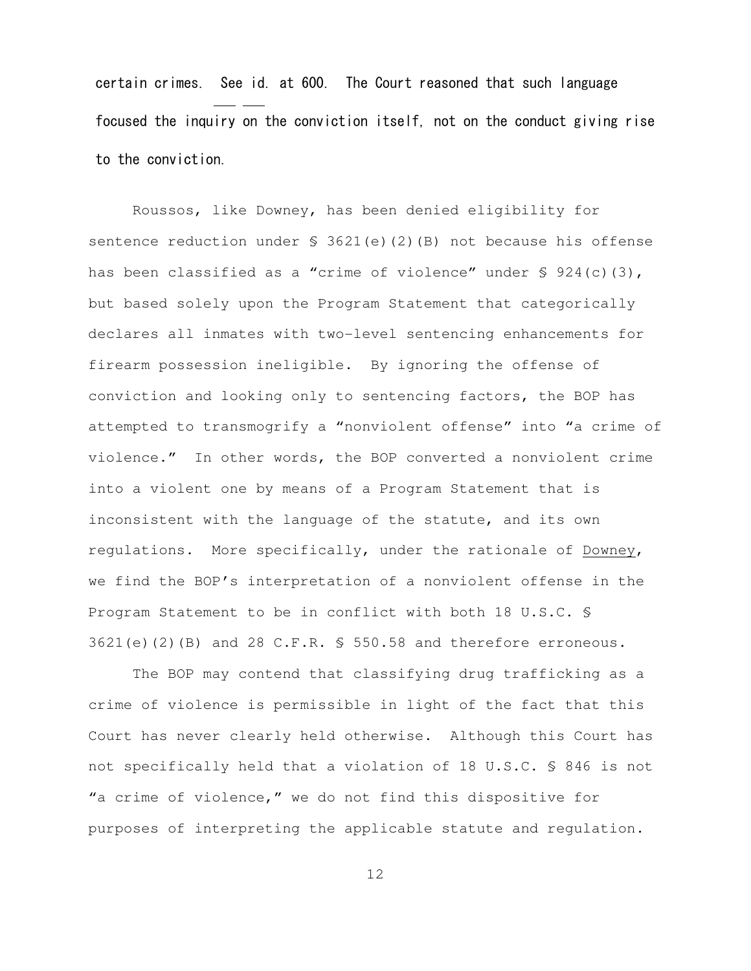certain crimes. See id. at 600. The Court reasoned that such language focused the inquiry on the conviction itself, not on the conduct giving rise to the conviction.

Roussos, like Downey, has been denied eligibility for sentence reduction under  $\S$  3621(e)(2)(B) not because his offense has been classified as a "crime of violence" under § 924(c)(3), but based solely upon the Program Statement that categorically declares all inmates with two-level sentencing enhancements for firearm possession ineligible. By ignoring the offense of conviction and looking only to sentencing factors, the BOP has attempted to transmogrify a "nonviolent offense" into "a crime of violence." In other words, the BOP converted a nonviolent crime into a violent one by means of a Program Statement that is inconsistent with the language of the statute, and its own regulations. More specifically, under the rationale of Downey, we find the BOP's interpretation of a nonviolent offense in the Program Statement to be in conflict with both 18 U.S.C. §  $3621(e)(2)(B)$  and 28 C.F.R. § 550.58 and therefore erroneous.

The BOP may contend that classifying drug trafficking as a crime of violence is permissible in light of the fact that this Court has never clearly held otherwise. Although this Court has not specifically held that a violation of 18 U.S.C. § 846 is not "a crime of violence," we do not find this dispositive for purposes of interpreting the applicable statute and regulation.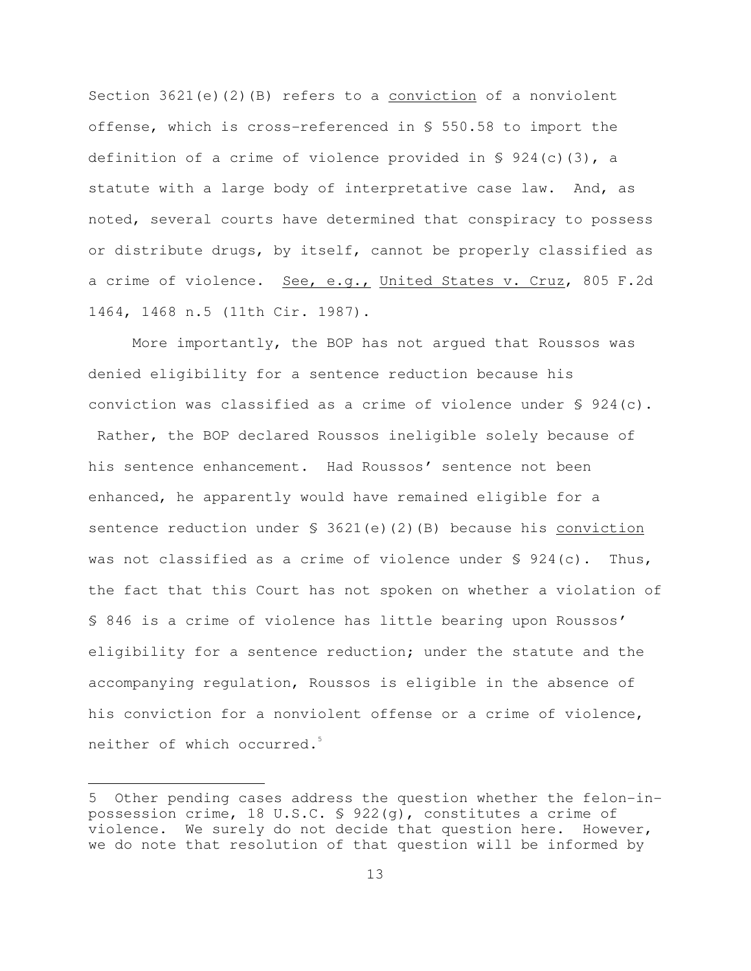Section 3621(e)(2)(B) refers to a conviction of a nonviolent offense, which is cross-referenced in § 550.58 to import the definition of a crime of violence provided in  $\S$  924(c)(3), a statute with a large body of interpretative case law. And, as noted, several courts have determined that conspiracy to possess or distribute drugs, by itself, cannot be properly classified as a crime of violence. See, e.g., United States v. Cruz, 805 F.2d 1464, 1468 n.5 (11th Cir. 1987).

More importantly, the BOP has not argued that Roussos was denied eligibility for a sentence reduction because his conviction was classified as a crime of violence under § 924(c). Rather, the BOP declared Roussos ineligible solely because of his sentence enhancement. Had Roussos' sentence not been enhanced, he apparently would have remained eligible for a sentence reduction under  $\S$  3621(e)(2)(B) because his conviction was not classified as a crime of violence under  $\S$  924(c). Thus, the fact that this Court has not spoken on whether a violation of § 846 is a crime of violence has little bearing upon Roussos' eligibility for a sentence reduction; under the statute and the accompanying regulation, Roussos is eligible in the absence of his conviction for a nonviolent offense or a crime of violence, neither of which occurred.<sup>5</sup>

 $\overline{\phantom{0}}$ 

<sup>5</sup> Other pending cases address the question whether the felon-inpossession crime, 18 U.S.C. § 922(g), constitutes a crime of violence. We surely do not decide that question here. However, we do note that resolution of that question will be informed by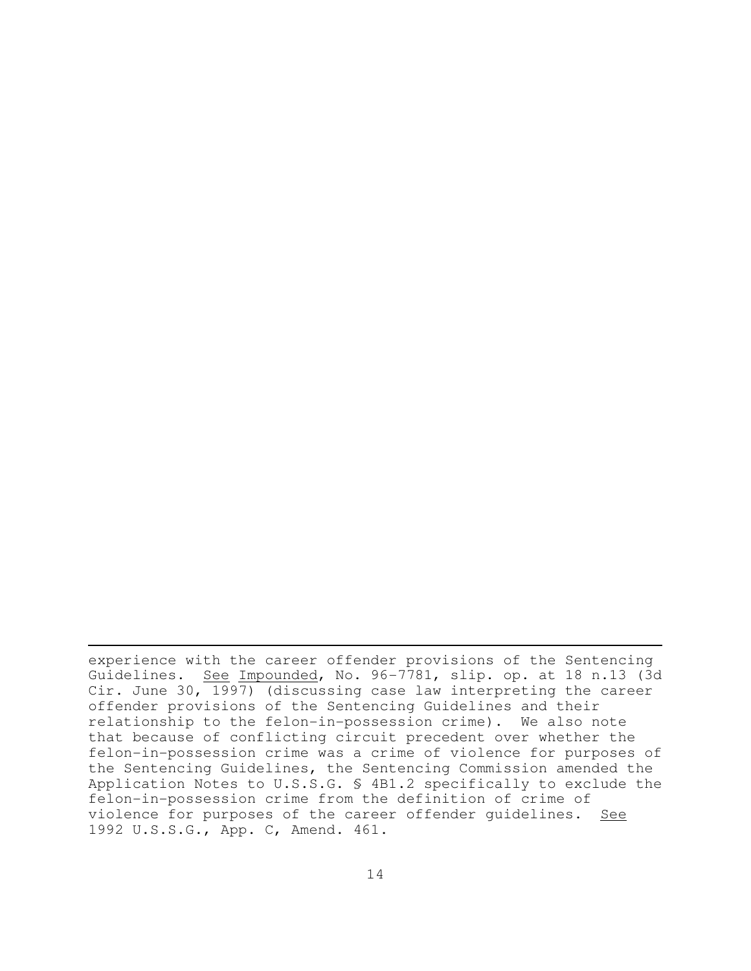experience with the career offender provisions of the Sentencing Guidelines. See Impounded, No. 96-7781, slip. op. at 18 n.13 (3d Cir. June 30, 1997) (discussing case law interpreting the career offender provisions of the Sentencing Guidelines and their relationship to the felon-in-possession crime). We also note that because of conflicting circuit precedent over whether the felon-in-possession crime was a crime of violence for purposes of the Sentencing Guidelines, the Sentencing Commission amended the Application Notes to U.S.S.G. § 4B1.2 specifically to exclude the felon-in-possession crime from the definition of crime of violence for purposes of the career offender guidelines. See 1992 U.S.S.G., App. C, Amend. 461.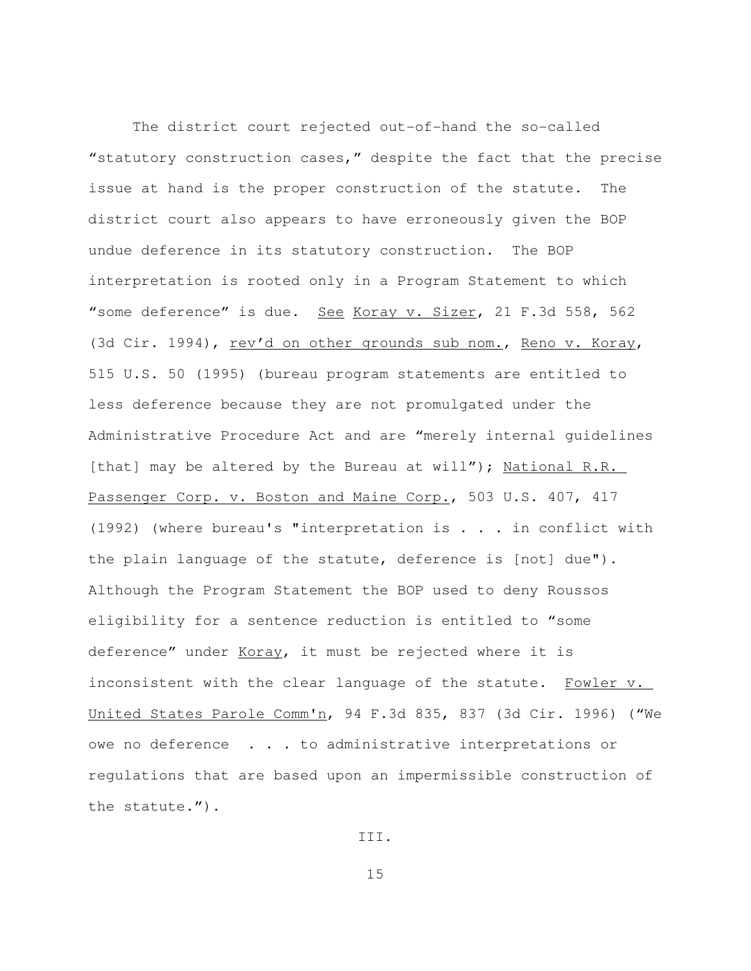The district court rejected out-of-hand the so-called "statutory construction cases," despite the fact that the precise issue at hand is the proper construction of the statute. The district court also appears to have erroneously given the BOP undue deference in its statutory construction. The BOP interpretation is rooted only in a Program Statement to which "some deference" is due. See Koray v. Sizer, 21 F.3d 558, 562 (3d Cir. 1994), rev'd on other grounds sub nom., Reno v. Koray, 515 U.S. 50 (1995) (bureau program statements are entitled to less deference because they are not promulgated under the Administrative Procedure Act and are "merely internal guidelines [that] may be altered by the Bureau at will"); National R.R. Passenger Corp. v. Boston and Maine Corp., 503 U.S. 407, 417 (1992) (where bureau's "interpretation is . . . in conflict with the plain language of the statute, deference is [not] due"). Although the Program Statement the BOP used to deny Roussos eligibility for a sentence reduction is entitled to "some deference" under Koray, it must be rejected where it is inconsistent with the clear language of the statute. Fowler v. United States Parole Comm'n, 94 F.3d 835, 837 (3d Cir. 1996) ("We owe no deference . . . to administrative interpretations or regulations that are based upon an impermissible construction of the statute.").

III.